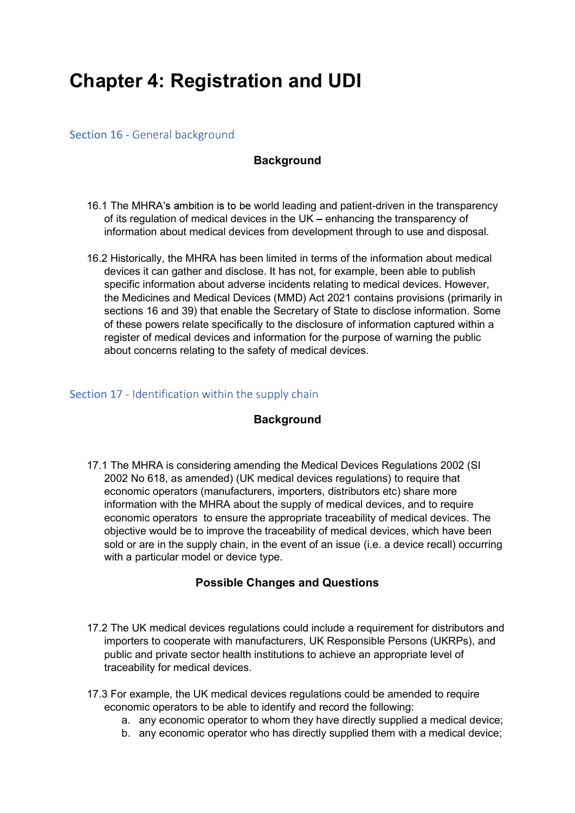# Chapter 4: Registration and UDI

### Section 16 - General background

# **Background**

- 16.1 The MHRA's ambition is to be world leading and patient-driven in the transparency of its regulation of medical devices in the UK – enhancing the transparency of information about medical devices from development through to use and disposal.
- 16.2 Historically, the MHRA has been limited in terms of the information about medical devices it can gather and disclose. It has not, for example, been able to publish specific information about adverse incidents relating to medical devices. However, the Medicines and Medical Devices (MMD) Act 2021 contains provisions (primarily in sections 16 and 39) that enable the Secretary of State to disclose information. Some of these powers relate specifically to the disclosure of information captured within a register of medical devices and information for the purpose of warning the public about concerns relating to the safety of medical devices.

#### Section 17 - Identification within the supply chain

# **Background**

17.1 The MHRA is considering amending the Medical Devices Regulations 2002 (SI 2002 No 618, as amended) (UK medical devices regulations) to require that economic operators (manufacturers, importers, distributors etc) share more information with the MHRA about the supply of medical devices, and to require economic operators to ensure the appropriate traceability of medical devices. The objective would be to improve the traceability of medical devices, which have been sold or are in the supply chain, in the event of an issue (i.e. a device recall) occurring with a particular model or device type.

# Possible Changes and Questions

- 17.2 The UK medical devices regulations could include a requirement for distributors and importers to cooperate with manufacturers, UK Responsible Persons (UKRPs), and public and private sector health institutions to achieve an appropriate level of traceability for medical devices.
- 17.3 For example, the UK medical devices regulations could be amended to require economic operators to be able to identify and record the following:
	- a. any economic operator to whom they have directly supplied a medical device;
	- b. any economic operator who has directly supplied them with a medical device;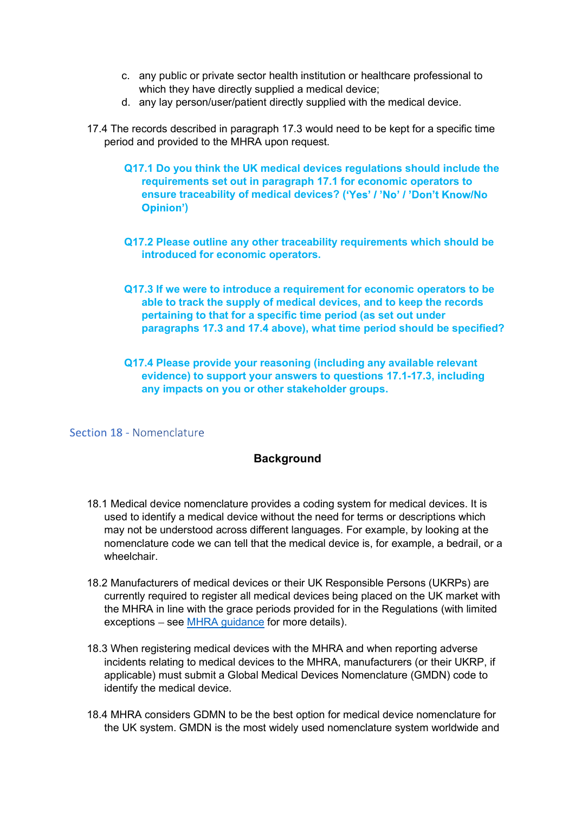- c. any public or private sector health institution or healthcare professional to<br>which they have directly supplied a medical device;<br>d. any lay person/user/patient directly supplied with the medical device.<br>he records desc which they have directly supplied a medical device;
- d. any lay person/user/patient directly supplied with the medical device.
- 17.4 The records described in paragraph 17.3 would need to be kept for a specific time period and provided to the MHRA upon request.
	- Q17.1 Do you think the UK medical devices regulations should include the requirements set out in paragraph 17.1 for economic operators to ensure traceability of medical devices? ('Yes' / 'No' / 'Don't Know/No )
	- Q17.2 Please outline any other traceability requirements which should be introduced for economic operators.
	- Q17.3 If we were to introduce a requirement for economic operators to be able to track the supply of medical devices, and to keep the records pertaining to that for a specific time period (as set out under paragraphs 17.3 and 17.4 above), what time period should be specified?
	- Q17.4 Please provide your reasoning (including any available relevant evidence) to support your answers to questions 17.1-17.3, including any impacts on you or other stakeholder groups.

Section 18 - Nomenclature

#### **Background**

- 18.1 Medical device nomenclature provides a coding system for medical devices. It is used to identify a medical device without the need for terms or descriptions which may not be understood across different languages. For example, by looking at the nomenclature code we can tell that the medical device is, for example, a bedrail, or a wheelchair.
- 18.2 Manufacturers of medical devices or their UK Responsible Persons (UKRPs) are currently required to register all medical devices being placed on the UK market with the MHRA in line with the grace periods provided for in the Regulations (with limited  $exceptions - see MHRA guidance for more details).$
- 18.3 When registering medical devices with the MHRA and when reporting adverse incidents relating to medical devices to the MHRA, manufacturers (or their UKRP, if applicable) must submit a Global Medical Devices Nomenclature (GMDN) code to identify the medical device.
- 18.4 MHRA considers GDMN to be the best option for medical device nomenclature for the UK system. GMDN is the most widely used nomenclature system worldwide and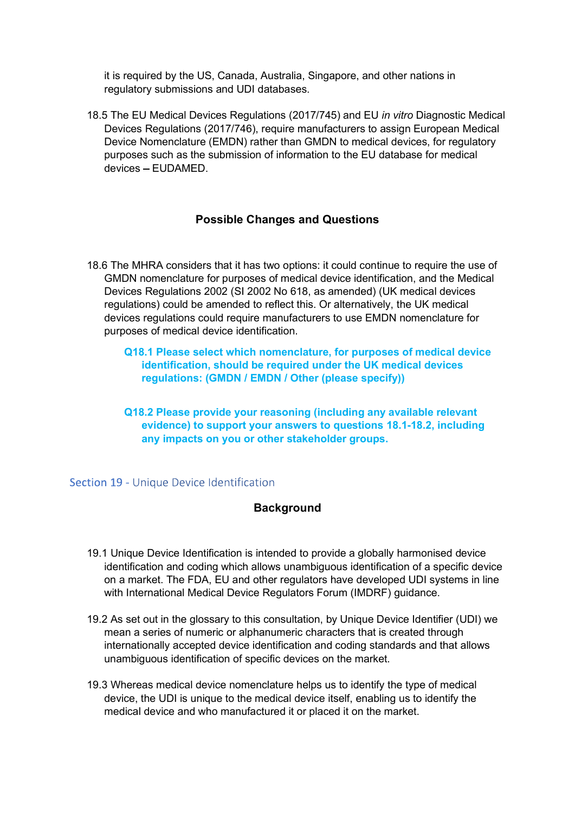it is required by the US, Canada, Australia, Singapore, and other nations in regulatory submissions and UDI databases.

18.5 The EU Medical Devices Regulations (2017/745) and EU in vitro Diagnostic Medical Devices Regulations (2017/746), require manufacturers to assign European Medical Device Nomenclature (EMDN) rather than GMDN to medical devices, for regulatory purposes such as the submission of information to the EU database for medical devices - EUDAMED

# Possible Changes and Questions

- 18.6 The MHRA considers that it has two options: it could continue to require the use of GMDN nomenclature for purposes of medical device identification, and the Medical Devices Regulations 2002 (SI 2002 No 618, as amended) (UK medical devices regulations) could be amended to reflect this. Or alternatively, the UK medical devices regulations could require manufacturers to use EMDN nomenclature for purposes of medical device identification.
	- Q18.1 Please select which nomenclature, for purposes of medical device identification, should be required under the UK medical devices regulations: (GMDN / EMDN / Other (please specify))
	- Q18.2 Please provide your reasoning (including any available relevant evidence) to support your answers to questions 18.1-18.2, including any impacts on you or other stakeholder groups.

#### Section 19 - Unique Device Identification

#### **Background**

- 19.1 Unique Device Identification is intended to provide a globally harmonised device identification and coding which allows unambiguous identification of a specific device on a market. The FDA, EU and other regulators have developed UDI systems in line with International Medical Device Regulators Forum (IMDRF) guidance.
- 19.2 As set out in the glossary to this consultation, by Unique Device Identifier (UDI) we mean a series of numeric or alphanumeric characters that is created through internationally accepted device identification and coding standards and that allows unambiguous identification of specific devices on the market.
- 19.3 Whereas medical device nomenclature helps us to identify the type of medical device, the UDI is unique to the medical device itself, enabling us to identify the medical device and who manufactured it or placed it on the market.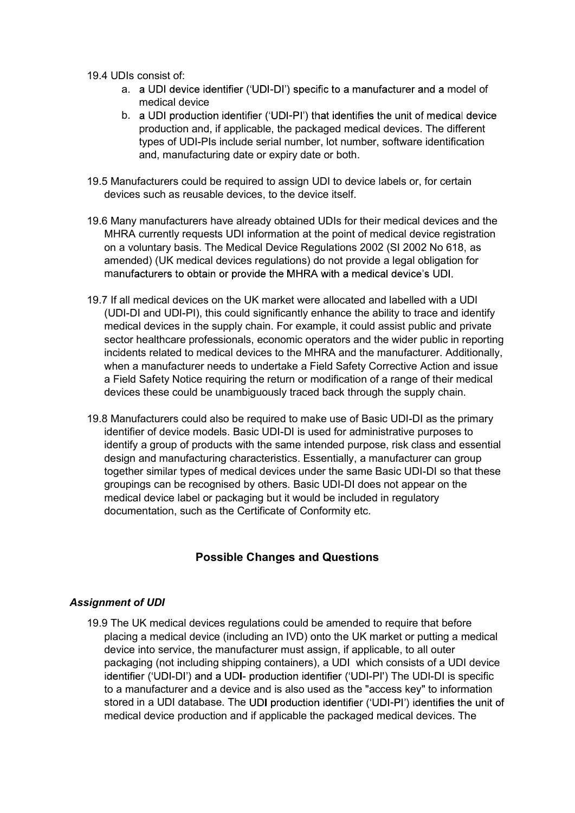- - a. a UDI device identifier ('UDI-DI') specific to a manufacturer and a model of medical device
- 19.4 UDIs consist of:<br>
a. a UDI device identifier ('UDI-DI') specific to a manufacturer and a model of<br>
medical device<br>
b. a UDI production identifier ('UDI-PI') that identifies the unit of medical device<br>
production and, b. a UDI production identifier ('UDI-PI') that identifies the unit of medical device production and, if applicable, the packaged medical devices. The different types of UDI-PIs include serial number, lot number, software identification and, manufacturing date or expiry date or both.
- 19.5 Manufacturers could be required to assign UDI to device labels or, for certain devices such as reusable devices, to the device itself.
- 19.6 Many manufacturers have already obtained UDIs for their medical devices and the MHRA currently requests UDI information at the point of medical device registration on a voluntary basis. The Medical Device Regulations 2002 (SI 2002 No 618, as amended) (UK medical devices regulations) do not provide a legal obligation for manufacturers to obtain or provide the MHRA with a medical device's UDI.
- 19.7 If all medical devices on the UK market were allocated and labelled with a UDI (UDI-DI and UDI-PI), this could significantly enhance the ability to trace and identify medical devices in the supply chain. For example, it could assist public and private sector healthcare professionals, economic operators and the wider public in reporting incidents related to medical devices to the MHRA and the manufacturer. Additionally, when a manufacturer needs to undertake a Field Safety Corrective Action and issue a Field Safety Notice requiring the return or modification of a range of their medical devices these could be unambiguously traced back through the supply chain.
- 19.8 Manufacturers could also be required to make use of Basic UDI-DI as the primary identifier of device models. Basic UDI-DI is used for administrative purposes to identify a group of products with the same intended purpose, risk class and essential design and manufacturing characteristics. Essentially, a manufacturer can group together similar types of medical devices under the same Basic UDI-DI so that these groupings can be recognised by others. Basic UDI-DI does not appear on the medical device label or packaging but it would be included in regulatory documentation, such as the Certificate of Conformity etc.

# Possible Changes and Questions

# Assignment of UDI

19.9 The UK medical devices regulations could be amended to require that before placing a medical device (including an IVD) onto the UK market or putting a medical device into service, the manufacturer must assign, if applicable, to all outer packaging (not including shipping containers), a UDI which consists of a UDI device identifier ('UDI-DI') and a UDI- production identifier ('UDI-PI') The UDI-DI is specific to a manufacturer and a device and is also used as the "access key" to information stored in a UDI database. The UDI production identifier ('UDI-PI') identifies the unit of medical device production and if applicable the packaged medical devices. The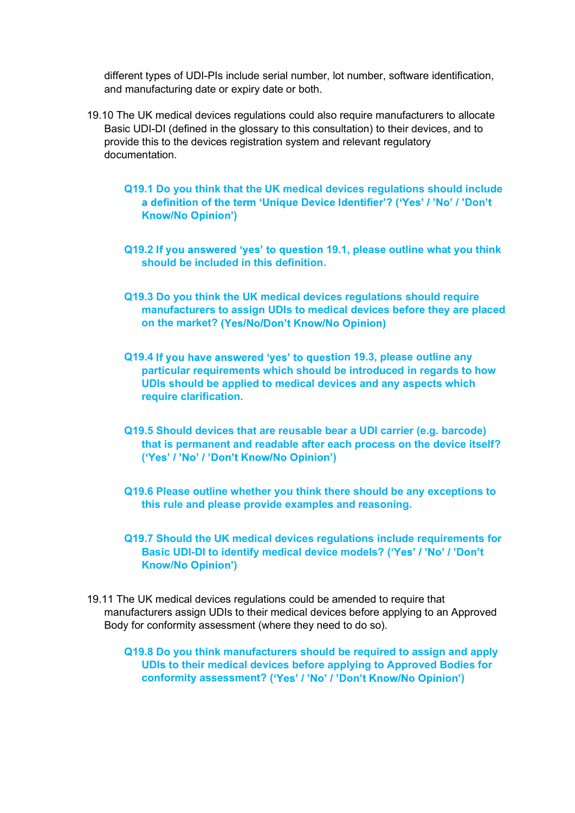different types of UDI-PIs include serial number, lot number, software identification, and manufacturing date or expiry date or both.

- 19.10 The UK medical devices regulations could also require manufacturers to allocate Basic UDI-DI (defined in the glossary to this consultation) to their devices, and to provide this to the devices registration system and relevant regulatory documentation.
	- Q19.1 Do you think that the UK medical devices regulations should include a definition of the term 'Unique Device Identifier'? ('Yes' / 'No' / 'Don't )
	- Q19.2 If you answered 'yes' to question 19.1, please outline what you think should be included in this definition.
	- Q19.3 Do you think the UK medical devices regulations should require manufacturers to assign UDIs to medical devices before they are placed on the market? (Yes/No/Don't Know/No Opinion)
	- Q19.4 If you have answered 'yes' to question 19.3, please outline any particular requirements which should be introduced in regards to how UDIs should be applied to medical devices and any aspects which require clarification.
	- Q19.5 Should devices that are reusable bear a UDI carrier (e.g. barcode) that is permanent and readable after each process on the device itself? ('Yes' / 'No' / 'Don't Know/No Opinion')
	- Q19.6 Please outline whether you think there should be any exceptions to this rule and please provide examples and reasoning.
	- Q19.7 Should the UK medical devices regulations include requirements for Basic UDI-DI to identify medical device models? ('Yes' / 'No' / 'Don't **Know/No Opinion')**
- 19.11 The UK medical devices regulations could be amended to require that manufacturers assign UDIs to their medical devices before applying to an Approved Body for conformity assessment (where they need to do so).

Q19.8 Do you think manufacturers should be required to assign and apply UDIs to their medical devices before applying to Approved Bodies for conformity assessment? ('Yes' / 'No' / 'Don't Know/No Opinion')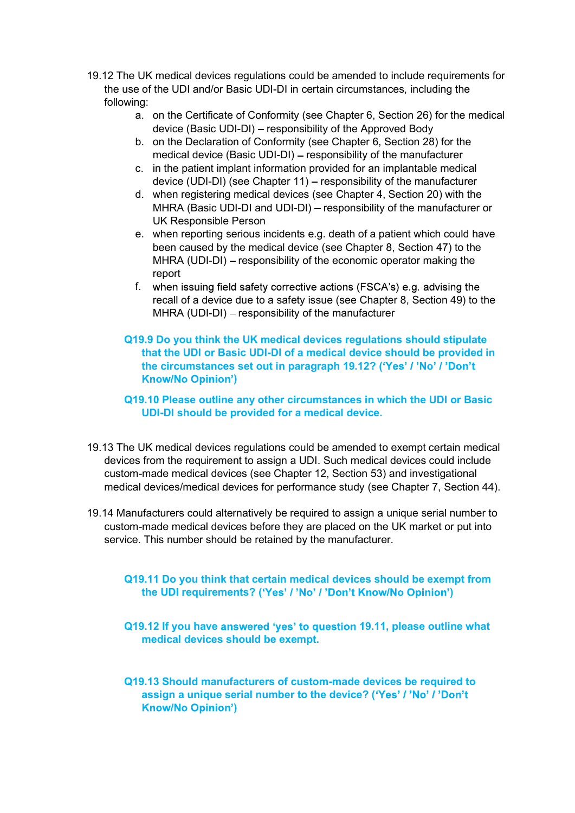- 19.12 The UK medical devices regulations could be amended to include requirements for<br>the use of the UDI and/or Basic UDI-DI in certain circumstances, including the<br>following:<br>a. on the Certificate of Conformity (see Chapt the use of the UDI and/or Basic UDI-DI in certain circumstances, including the following:
	- a. on the Certificate of Conformity (see Chapter 6, Section 26) for the medical device (Basic UDI-DI) – responsibility of the Approved Body
	- b. on the Declaration of Conformity (see Chapter 6, Section 28) for the medical device (Basic UDI-DI) - responsibility of the manufacturer
	- c. in the patient implant information provided for an implantable medical device (UDI-DI) (see Chapter 11) – responsibility of the manufacturer
	- d. when registering medical devices (see Chapter 4, Section 20) with the MHRA (Basic UDI-DI and UDI-DI) - responsibility of the manufacturer or UK Responsible Person
	- e. when reporting serious incidents e.g. death of a patient which could have been caused by the medical device (see Chapter 8, Section 47) to the MHRA (UDI-DI) – responsibility of the economic operator making the report
	- f. when issuing field safety corrective actions (FSCA's) e.g. advising the recall of a device due to a safety issue (see Chapter 8, Section 49) to the  $MHRA$  (UDI-DI) – responsibility of the manufacturer
	- Q19.9 Do you think the UK medical devices regulations should stipulate that the UDI or Basic UDI-DI of a medical device should be provided in the circumstances set out in paragraph 19.12? ('Yes' / 'No' / 'Don't )

# Q19.10 Please outline any other circumstances in which the UDI or Basic UDI-DI should be provided for a medical device.

- 19.13 The UK medical devices regulations could be amended to exempt certain medical devices from the requirement to assign a UDI. Such medical devices could include custom-made medical devices (see Chapter 12, Section 53) and investigational medical devices/medical devices for performance study (see Chapter 7, Section 44).
- 19.14 Manufacturers could alternatively be required to assign a unique serial number to custom-made medical devices before they are placed on the UK market or put into service. This number should be retained by the manufacturer.

# Q19.11 Do you think that certain medical devices should be exempt from the UDI requirements? ('Yes' / 'No' / 'Don't Know/No Opinion')

Q19.12 If you have answered 'yes' to question 19.11, please outline what medical devices should be exempt.

Q19.13 Should manufacturers of custom-made devices be required to assign a unique serial number to the device? ('Yes' / 'No' / 'Don't **Know/No Opinion')**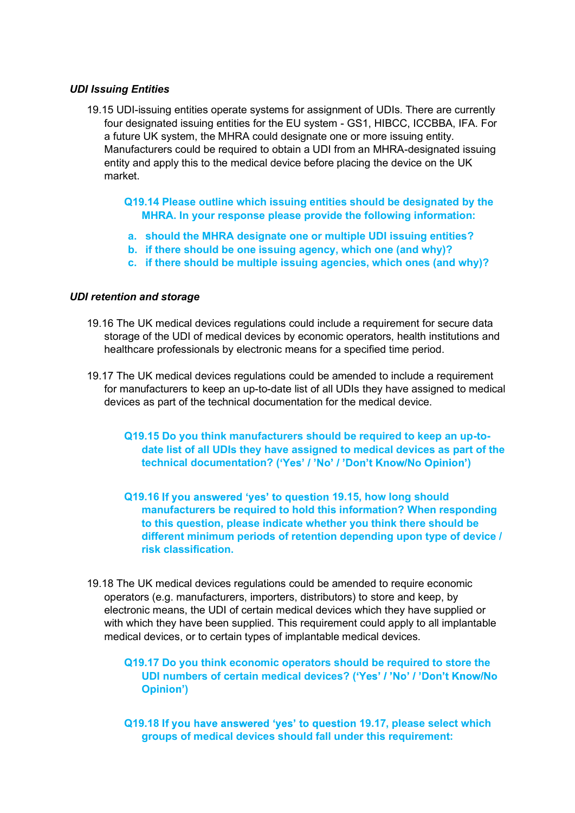#### UDI Issuing Entities

- 19.15 UDI-issuing entities operate systems for assignment of UDIs. There are currently four designated issuing entities for the EU system - GS1, HIBCC, ICCBBA, IFA. For a future UK system, the MHRA could designate one or more issuing entity. Manufacturers could be required to obtain a UDI from an MHRA-designated issuing entity and apply this to the medical device before placing the device on the UK market.
	- Q19.14 Please outline which issuing entities should be designated by the MHRA. In your response please provide the following information:
	- a. should the MHRA designate one or multiple UDI issuing entities?
	- b. if there should be one issuing agency, which one (and why)?
	- c. if there should be multiple issuing agencies, which ones (and why)?

#### UDI retention and storage

- 19.16 The UK medical devices regulations could include a requirement for secure data storage of the UDI of medical devices by economic operators, health institutions and healthcare professionals by electronic means for a specified time period.
- 19.17 The UK medical devices regulations could be amended to include a requirement for manufacturers to keep an up-to-date list of all UDIs they have assigned to medical devices as part of the technical documentation for the medical device.
	- Q19.15 Do you think manufacturers should be required to keep an up-todate list of all UDIs they have assigned to medical devices as part of the technical documentation? ('Yes' / 'No' / 'Don't Know/No Opinion')
	- Q19.16 If you answered 'yes' to question 19.15, how long should manufacturers be required to hold this information? When responding to this question, please indicate whether you think there should be different minimum periods of retention depending upon type of device / risk classification.
- 19.18 The UK medical devices regulations could be amended to require economic operators (e.g. manufacturers, importers, distributors) to store and keep, by electronic means, the UDI of certain medical devices which they have supplied or with which they have been supplied. This requirement could apply to all implantable medical devices, or to certain types of implantable medical devices.
	- Q19.17 Do you think economic operators should be required to store the UDI numbers of certain medical devices? ('Yes' / 'No' / 'Don't Know/No Opinion')
	- Q19.18 If you have answered 'yes' to question 19.17, please select which groups of medical devices should fall under this requirement: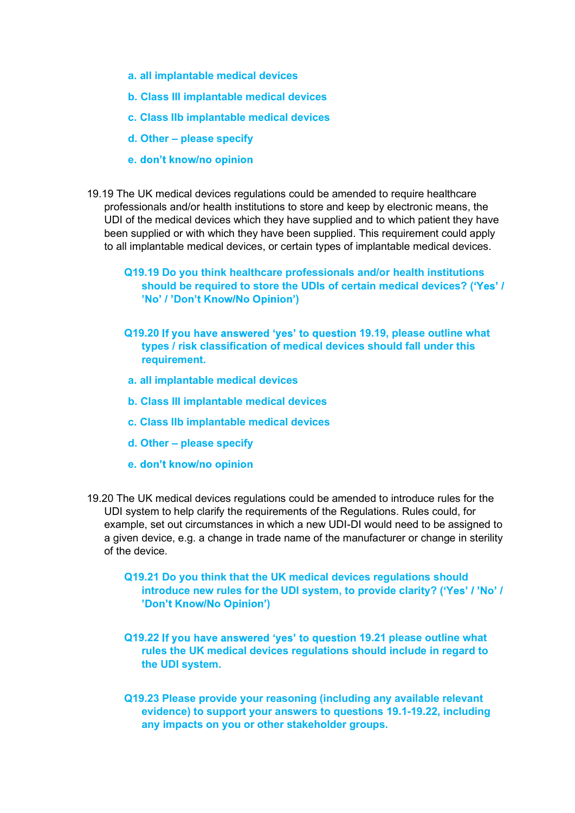- a. all implantable medical devices
- b. Class III implantable medical devices
- c. Class IIb implantable medical devices
- $d.$  Other  $-$  please specify
- e. don't know/no opinion
- 19.19 The UK medical devices regulations could be amended to require healthcare professionals and/or health institutions to store and keep by electronic means, the UDI of the medical devices which they have supplied and to which patient they have been supplied or with which they have been supplied. This requirement could apply to all implantable medical devices, or certain types of implantable medical devices.
	- Q19.19 Do you think healthcare professionals and/or health institutions should be required to store the UDIs of certain medical devices? ( )
	- Q19.20 If you have answered 'yes' to question 19.19, please outline what types / risk classification of medical devices should fall under this requirement.
	- a. all implantable medical devices
	- b. Class III implantable medical devices
	- c. Class IIb implantable medical devices
	- d. Other please specify
	- e. don't know/no opinion
- 19.20 The UK medical devices regulations could be amended to introduce rules for the UDI system to help clarify the requirements of the Regulations. Rules could, for example, set out circumstances in which a new UDI-DI would need to be assigned to a given device, e.g. a change in trade name of the manufacturer or change in sterility of the device.
	- Q19.21 Do you think that the UK medical devices regulations should introduce new rules for the UDI system, to provide clarity? ('Yes' / 'No' / )
	- Q19.22 If you have answered 'yes' to question 19.21 please outline what rules the UK medical devices regulations should include in regard to the UDI system.
	- Q19.23 Please provide your reasoning (including any available relevant evidence) to support your answers to questions 19.1-19.22, including any impacts on you or other stakeholder groups.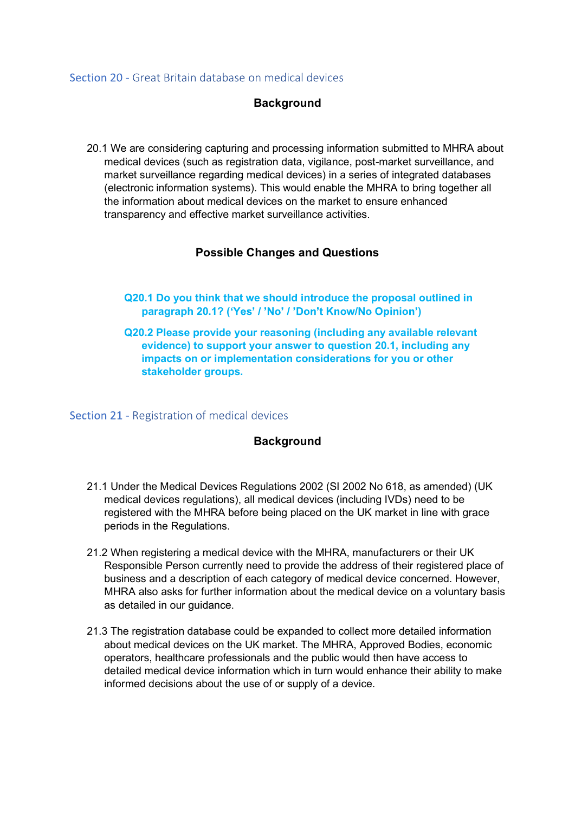#### Section 20 - Great Britain database on medical devices

# **Background**

20.1 We are considering capturing and processing information submitted to MHRA about medical devices (such as registration data, vigilance, post-market surveillance, and market surveillance regarding medical devices) in a series of integrated databases (electronic information systems). This would enable the MHRA to bring together all the information about medical devices on the market to ensure enhanced transparency and effective market surveillance activities.

# Possible Changes and Questions

- Q20.1 Do you think that we should introduce the proposal outlined in paragraph 20.1? ('Yes' / 'No' / 'Don't Know/No Opinion')
- Q20.2 Please provide your reasoning (including any available relevant evidence) to support your answer to question 20.1, including any impacts on or implementation considerations for you or other stakeholder groups.

#### Section 21 - Registration of medical devices

#### **Background**

- 21.1 Under the Medical Devices Regulations 2002 (SI 2002 No 618, as amended) (UK medical devices regulations), all medical devices (including IVDs) need to be registered with the MHRA before being placed on the UK market in line with grace periods in the Regulations.
- 21.2 When registering a medical device with the MHRA, manufacturers or their UK Responsible Person currently need to provide the address of their registered place of business and a description of each category of medical device concerned. However, MHRA also asks for further information about the medical device on a voluntary basis as detailed in our guidance.
- 21.3 The registration database could be expanded to collect more detailed information about medical devices on the UK market. The MHRA, Approved Bodies, economic operators, healthcare professionals and the public would then have access to detailed medical device information which in turn would enhance their ability to make informed decisions about the use of or supply of a device.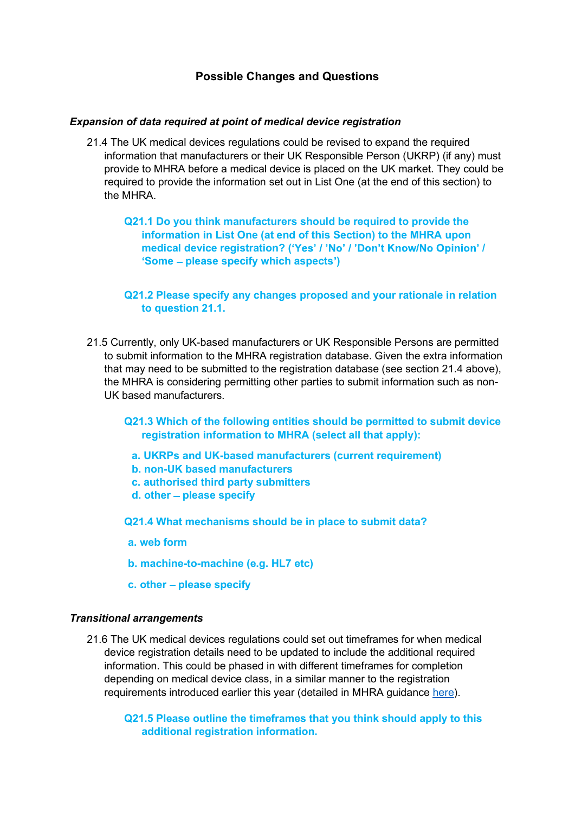### Possible Changes and Questions

#### Expansion of data required at point of medical device registration

- 21.4 The UK medical devices regulations could be revised to expand the required information that manufacturers or their UK Responsible Person (UKRP) (if any) must provide to MHRA before a medical device is placed on the UK market. They could be required to provide the information set out in List One (at the end of this section) to the MHRA.
	- Q21.1 Do you think manufacturers should be required to provide the information in List One (at end of this Section) to the MHRA upon medical device registration? ('Yes' / 'No' / 'Don't Know/No Opinion' / 'Some - please specify which aspects')

#### Q21.2 Please specify any changes proposed and your rationale in relation to question 21.1.

- 21.5 Currently, only UK-based manufacturers or UK Responsible Persons are permitted to submit information to the MHRA registration database. Given the extra information that may need to be submitted to the registration database (see section 21.4 above), the MHRA is considering permitting other parties to submit information such as non-UK based manufacturers.
	- Q21.3 Which of the following entities should be permitted to submit device registration information to MHRA (select all that apply):
		- a. UKRPs and UK-based manufacturers (current requirement)
		- b. non-UK based manufacturers
		- c. authorised third party submitters
		- $d.$  other  $-$  please specify

Q21.4 What mechanisms should be in place to submit data?

- a. web form
- b. machine-to-machine (e.g. HL7 etc)
- $c.$  other  $-$  please specify

#### Transitional arrangements

21.6 The UK medical devices regulations could set out timeframes for when medical device registration details need to be updated to include the additional required information. This could be phased in with different timeframes for completion depending on medical device class, in a similar manner to the registration requirements introduced earlier this year (detailed in MHRA guidance here).

Q21.5 Please outline the timeframes that you think should apply to this additional registration information.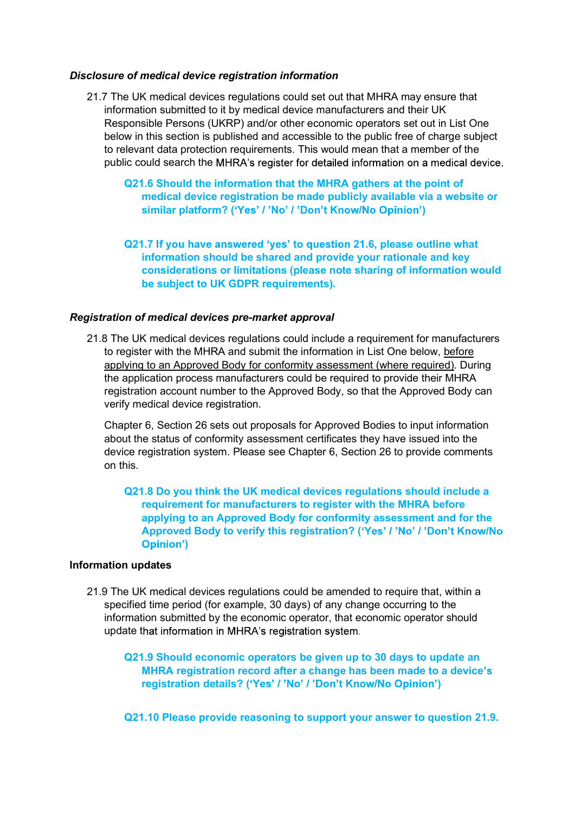#### Disclosure of medical device registration information

- 21.7 The UK medical devices regulations could set out that MHRA may ensure that information submitted to it by medical device manufacturers and their UK Responsible Persons (UKRP) and/or other economic operators set out in List One below in this section is published and accessible to the public free of charge subject to relevant data protection requirements. This would mean that a member of the public could search the MHRA's register for detailed information on a medical device.
	- Q21.6 Should the information that the MHRA gathers at the point of medical device registration be made publicly available via a website or similar platform? ('Yes' / 'No' / 'Don't Know/No Opinion')
	- Q21.7 If you have answered 'yes' to question 21.6, please outline what information should be shared and provide your rationale and key considerations or limitations (please note sharing of information would be subject to UK GDPR requirements).

#### Registration of medical devices pre-market approval

21.8 The UK medical devices regulations could include a requirement for manufacturers to register with the MHRA and submit the information in List One below, before applying to an Approved Body for conformity assessment (where required). During the application process manufacturers could be required to provide their MHRA registration account number to the Approved Body, so that the Approved Body can verify medical device registration.

Chapter 6, Section 26 sets out proposals for Approved Bodies to input information about the status of conformity assessment certificates they have issued into the device registration system. Please see Chapter 6, Section 26 to provide comments on this.

#### Q21.8 Do you think the UK medical devices regulations should include a requirement for manufacturers to register with the MHRA before applying to an Approved Body for conformity assessment and for the Approved Body to verify this registration? ('Yes' / 'No' / 'Don't Know/No )

#### Information updates

21.9 The UK medical devices regulations could be amended to require that, within a specified time period (for example, 30 days) of any change occurring to the information submitted by the economic operator, that economic operator should update that information in MHRA's registration system.

Q21.9 Should economic operators be given up to 30 days to update an MHRA registration record after a change has been made to a device's registration details? ('Yes' / 'No' / 'Don't Know/No Opinion')

Q21.10 Please provide reasoning to support your answer to question 21.9.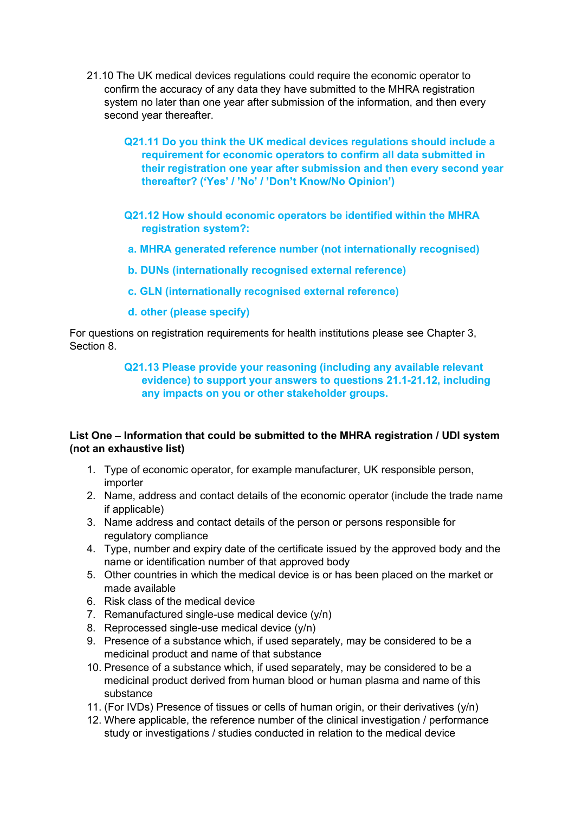- 21.10 The UK medical devices regulations could require the economic operator to<br>confirm the accuracy of any data they have submitted to the MHRA registration<br>system no later than one year after submission of the informatio confirm the accuracy of any data they have submitted to the MHRA registration system no later than one year after submission of the information, and then every second year thereafter.
	- Q21.11 Do you think the UK medical devices regulations should include a requirement for economic operators to confirm all data submitted in their registration one year after submission and then every second year thereafter? ('Yes' / 'No' / 'Don't Know/No Opinion')
	- Q21.12 How should economic operators be identified within the MHRA registration system?:
	- a. MHRA generated reference number (not internationally recognised)
	- b. DUNs (internationally recognised external reference)
	- c. GLN (internationally recognised external reference)
	- d. other (please specify)

For questions on registration requirements for health institutions please see Chapter 3, Section 8.

#### Q21.13 Please provide your reasoning (including any available relevant evidence) to support your answers to questions 21.1-21.12, including any impacts on you or other stakeholder groups.

# List One - Information that could be submitted to the MHRA registration / UDI system (not an exhaustive list)

- 1. Type of economic operator, for example manufacturer, UK responsible person, importer
- 2. Name, address and contact details of the economic operator (include the trade name if applicable)
- 3. Name address and contact details of the person or persons responsible for regulatory compliance
- 4. Type, number and expiry date of the certificate issued by the approved body and the name or identification number of that approved body
- 5. Other countries in which the medical device is or has been placed on the market or made available
- 6. Risk class of the medical device
- 7. Remanufactured single-use medical device (y/n)
- 8. Reprocessed single-use medical device (y/n)
- 9. Presence of a substance which, if used separately, may be considered to be a medicinal product and name of that substance
- 10. Presence of a substance which, if used separately, may be considered to be a medicinal product derived from human blood or human plasma and name of this substance
- 11. (For IVDs) Presence of tissues or cells of human origin, or their derivatives (y/n)
- 12. Where applicable, the reference number of the clinical investigation / performance study or investigations / studies conducted in relation to the medical device